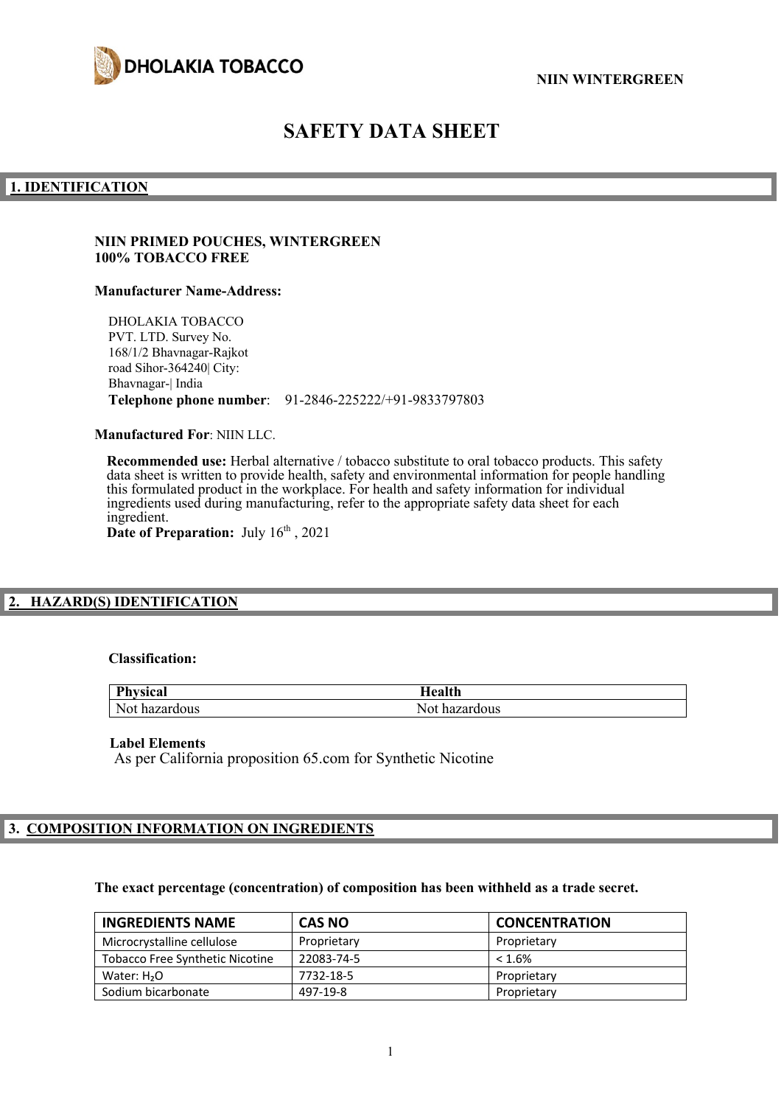

# **SAFETY DATA SHEET**

#### **1. IDENTIFICATION**

## **NIIN PRIMED POUCHES, WINTERGREEN 100% TOBACCO FREE**

#### **Manufacturer Name-Address:**

DHOLAKIA TOBACCO PVT. LTD. Survey No. 168/1/2 Bhavnagar-Rajkot road Sihor-364240| City: Bhavnagar-| India **Telephone phone number**: 91-2846-225222/+91-9833797803

**Manufactured For**: NIIN LLC.

**Recommended use:** Herbal alternative / tobacco substitute to oral tobacco products. This safety data sheet is written to provide health, safety and environmental information for people handling this formulated product in the workplace. For health and safety information for individual ingredients used during manufacturing, refer to the appropriate safety data sheet for each ingredient. Date of Preparation: July  $16<sup>th</sup>$ , 2021

## **2. HAZARD(S) IDENTIFICATION**

#### **Classification:**

| <b>Physical</b> | Iealth        |
|-----------------|---------------|
| Not hazardous   | Not hazardous |

#### **Label Elements**

As per California proposition 65.com for Synthetic Nicotine

## **3. COMPOSITION INFORMATION ON INGREDIENTS**

#### **The exact percentage (concentration) of composition has been withheld as a trade secret.**

| <b>INGREDIENTS NAME</b>                | <b>CAS NO</b> | <b>CONCENTRATION</b> |
|----------------------------------------|---------------|----------------------|
| Microcrystalline cellulose             | Proprietary   | Proprietary          |
| <b>Tobacco Free Synthetic Nicotine</b> | 22083-74-5    | $< 1.6\%$            |
| Water: $H2O$                           | 7732-18-5     | Proprietary          |
| Sodium bicarbonate                     | 497-19-8      | Proprietary          |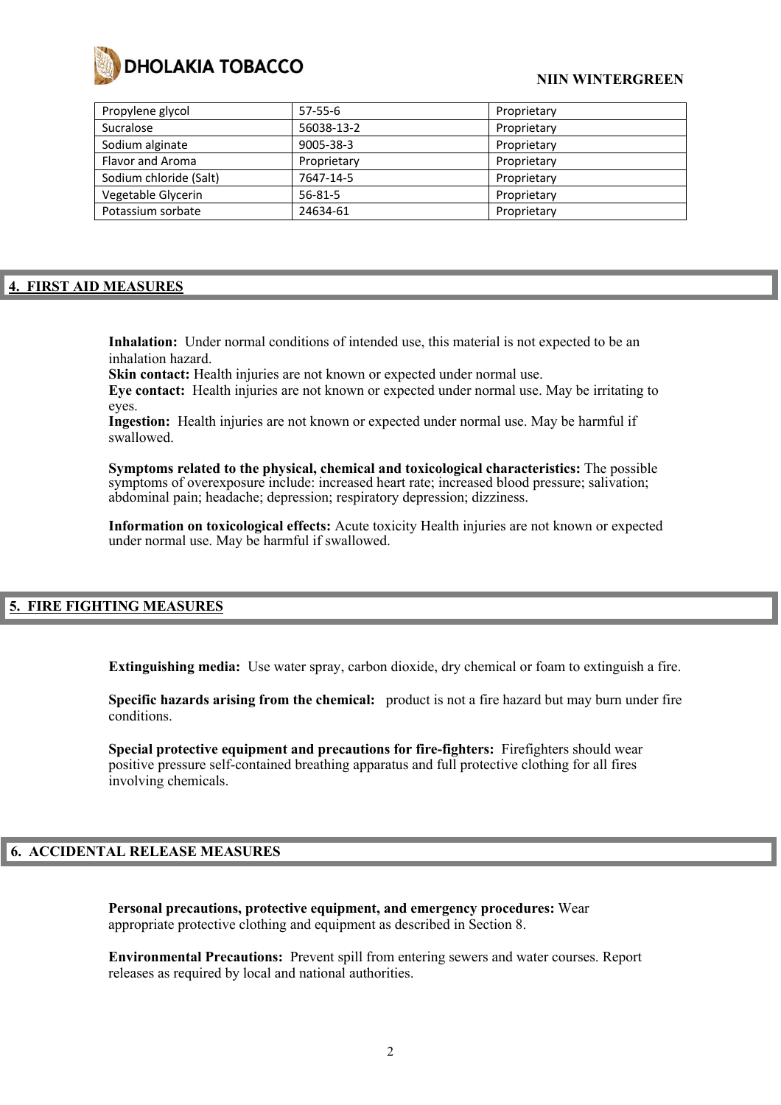

#### **NIIN WINTERGREEN**

| $57-55-6$     | Proprietary |
|---------------|-------------|
| 56038-13-2    | Proprietary |
| 9005-38-3     | Proprietary |
| Proprietary   | Proprietary |
| 7647-14-5     | Proprietary |
| $56 - 81 - 5$ | Proprietary |
| 24634-61      | Proprietary |
|               |             |

#### **4. FIRST AID MEASURES**

**Inhalation:** Under normal conditions of intended use, this material is not expected to be an inhalation hazard.

Skin contact: Health injuries are not known or expected under normal use.

**Eye contact:** Health injuries are not known or expected under normal use. May be irritating to eyes.

**Ingestion:** Health injuries are not known or expected under normal use. May be harmful if swallowed.

**Symptoms related to the physical, chemical and toxicological characteristics:** The possible symptoms of overexposure include: increased heart rate; increased blood pressure; salivation; abdominal pain; headache; depression; respiratory depression; dizziness.

**Information on toxicological effects:** Acute toxicity Health injuries are not known or expected under normal use. May be harmful if swallowed.

## **5. FIRE FIGHTING MEASURES**

**Extinguishing media:** Use water spray, carbon dioxide, dry chemical or foam to extinguish a fire.

**Specific hazards arising from the chemical:** product is not a fire hazard but may burn under fire conditions.

**Special protective equipment and precautions for fire-fighters:** Firefighters should wear positive pressure self-contained breathing apparatus and full protective clothing for all fires involving chemicals.

#### **6. ACCIDENTAL RELEASE MEASURES**

**Personal precautions, protective equipment, and emergency procedures:** Wear appropriate protective clothing and equipment as described in Section 8.

**Environmental Precautions:** Prevent spill from entering sewers and water courses. Report releases as required by local and national authorities.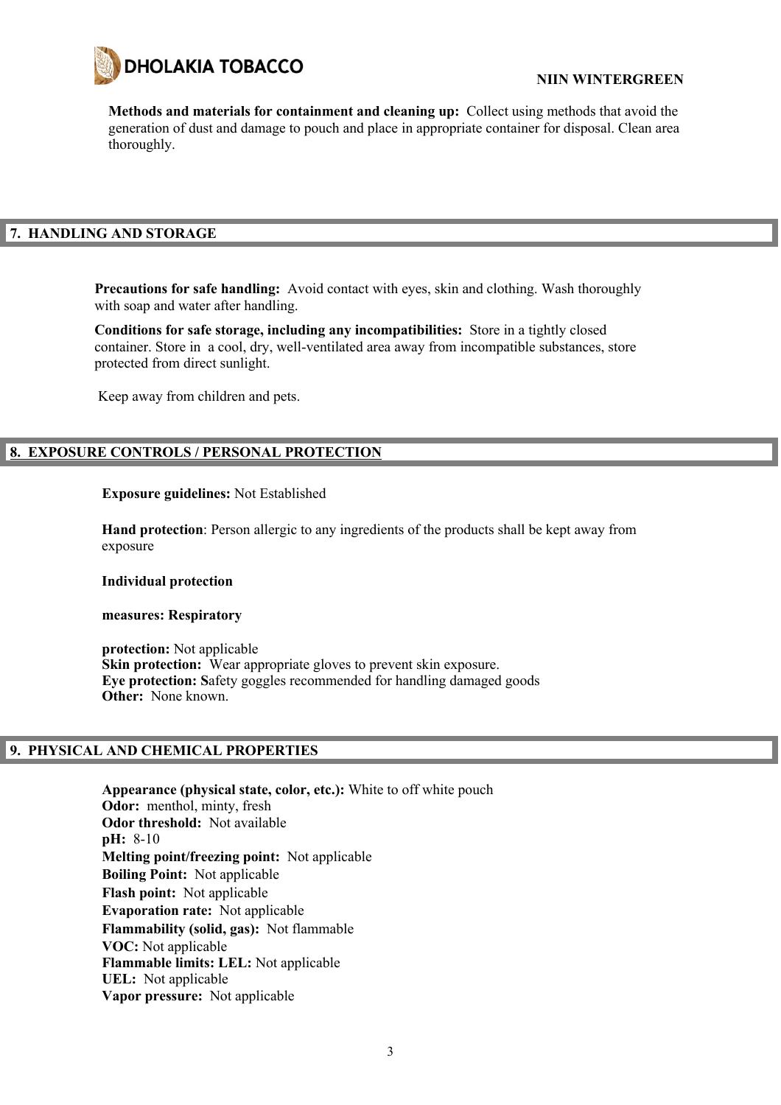

**Methods and materials for containment and cleaning up:** Collect using methods that avoid the generation of dust and damage to pouch and place in appropriate container for disposal. Clean area thoroughly.

# **7. HANDLING AND STORAGE**

**Precautions for safe handling:** Avoid contact with eyes, skin and clothing. Wash thoroughly with soap and water after handling.

**Conditions for safe storage, including any incompatibilities:** Store in a tightly closed container. Store in a cool, dry, well-ventilated area away from incompatible substances, store protected from direct sunlight.

Keep away from children and pets.

# **8. EXPOSURE CONTROLS / PERSONAL PROTECTION**

#### **Exposure guidelines:** Not Established

**Hand protection**: Person allergic to any ingredients of the products shall be kept away from exposure

#### **Individual protection**

#### **measures: Respiratory**

**protection:** Not applicable **Skin protection:** Wear appropriate gloves to prevent skin exposure. **Eye protection: S**afety goggles recommended for handling damaged goods **Other:** None known.

#### **9. PHYSICAL AND CHEMICAL PROPERTIES**

**Appearance (physical state, color, etc.):** White to off white pouch **Odor:** menthol, minty, fresh **Odor threshold:** Not available **pH:** 8-10 **Melting point/freezing point:** Not applicable **Boiling Point:** Not applicable **Flash point:** Not applicable **Evaporation rate:** Not applicable **Flammability (solid, gas):** Not flammable **VOC:** Not applicable **Flammable limits: LEL:** Not applicable **UEL:** Not applicable **Vapor pressure:** Not applicable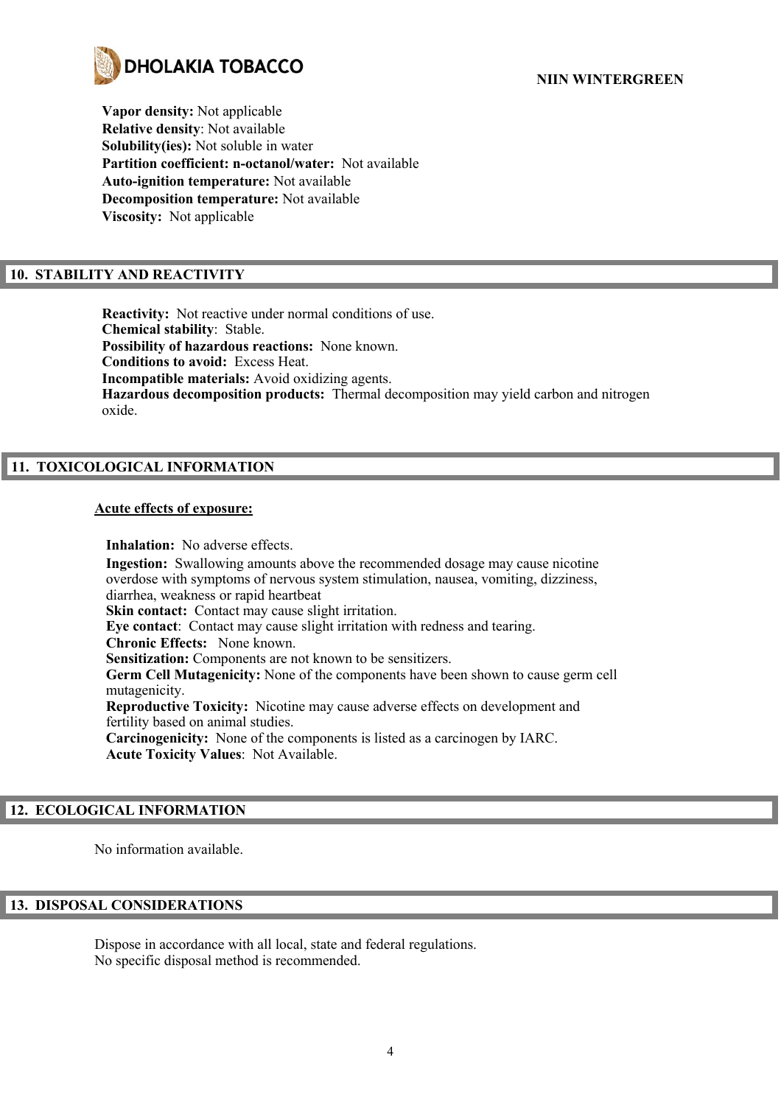

**Vapor density:** Not applicable **Relative density**: Not available **Solubility(ies):** Not soluble in water **Partition coefficient: n-octanol/water:** Not available **Auto-ignition temperature:** Not available **Decomposition temperature:** Not available **Viscosity:** Not applicable

# **10. STABILITY AND REACTIVITY**

**Reactivity:** Not reactive under normal conditions of use. **Chemical stability**: Stable. **Possibility of hazardous reactions:** None known. **Conditions to avoid:** Excess Heat. **Incompatible materials:** Avoid oxidizing agents. **Hazardous decomposition products:** Thermal decomposition may yield carbon and nitrogen oxide.

# **11. TOXICOLOGICAL INFORMATION**

#### **Acute effects of exposure:**

**Inhalation:** No adverse effects. **Ingestion:** Swallowing amounts above the recommended dosage may cause nicotine overdose with symptoms of nervous system stimulation, nausea, vomiting, dizziness, diarrhea, weakness or rapid heartbeat **Skin contact:** Contact may cause slight irritation. **Eye contact**: Contact may cause slight irritation with redness and tearing. **Chronic Effects:** None known. **Sensitization:** Components are not known to be sensitizers. **Germ Cell Mutagenicity:** None of the components have been shown to cause germ cell mutagenicity. **Reproductive Toxicity:** Nicotine may cause adverse effects on development and fertility based on animal studies. **Carcinogenicity:** None of the components is listed as a carcinogen by IARC. **Acute Toxicity Values**: Not Available.

# **12. ECOLOGICAL INFORMATION**

No information available.

## **13. DISPOSAL CONSIDERATIONS**

Dispose in accordance with all local, state and federal regulations. No specific disposal method is recommended.